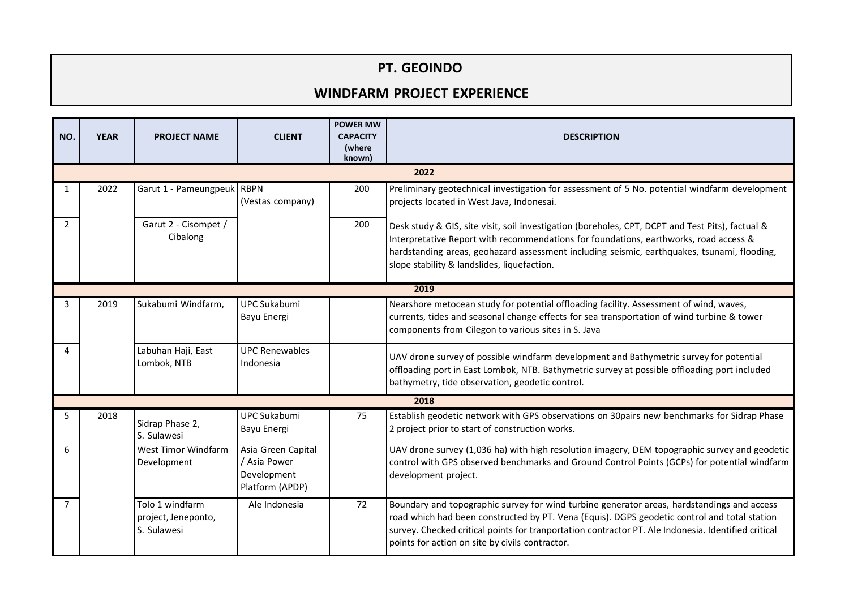## **PT. GEOINDO**

## **WINDFARM PROJECT EXPERIENCE**

| NO.            | <b>YEAR</b> | <b>PROJECT NAME</b>                                   | <b>CLIENT</b>                                                        | <b>POWER MW</b><br><b>CAPACITY</b><br>(where<br>known) | <b>DESCRIPTION</b>                                                                                                                                                                                                                                                                                                                                   |  |  |  |  |
|----------------|-------------|-------------------------------------------------------|----------------------------------------------------------------------|--------------------------------------------------------|------------------------------------------------------------------------------------------------------------------------------------------------------------------------------------------------------------------------------------------------------------------------------------------------------------------------------------------------------|--|--|--|--|
| 2022           |             |                                                       |                                                                      |                                                        |                                                                                                                                                                                                                                                                                                                                                      |  |  |  |  |
|                | 2022        | Garut 1 - Pameungpeuk   RBPN                          | (Vestas company)                                                     | 200                                                    | Preliminary geotechnical investigation for assessment of 5 No. potential windfarm development<br>projects located in West Java, Indonesai.                                                                                                                                                                                                           |  |  |  |  |
| 2              |             | Garut 2 - Cisompet /<br>Cibalong                      |                                                                      | 200                                                    | Desk study & GIS, site visit, soil investigation (boreholes, CPT, DCPT and Test Pits), factual &<br>Interpretative Report with recommendations for foundations, earthworks, road access &<br>hardstanding areas, geohazard assessment including seismic, earthquakes, tsunami, flooding,<br>slope stability & landslides, liquefaction.              |  |  |  |  |
| 2019           |             |                                                       |                                                                      |                                                        |                                                                                                                                                                                                                                                                                                                                                      |  |  |  |  |
| 3              | 2019        | Sukabumi Windfarm,                                    | UPC Sukabumi<br>Bayu Energi                                          |                                                        | Nearshore metocean study for potential offloading facility. Assessment of wind, waves,<br>currents, tides and seasonal change effects for sea transportation of wind turbine & tower<br>components from Cilegon to various sites in S. Java                                                                                                          |  |  |  |  |
| 4              |             | Labuhan Haji, East<br>Lombok, NTB                     | <b>UPC Renewables</b><br>Indonesia                                   |                                                        | UAV drone survey of possible windfarm development and Bathymetric survey for potential<br>offloading port in East Lombok, NTB. Bathymetric survey at possible offloading port included<br>bathymetry, tide observation, geodetic control.                                                                                                            |  |  |  |  |
| 2018           |             |                                                       |                                                                      |                                                        |                                                                                                                                                                                                                                                                                                                                                      |  |  |  |  |
| 5              | 2018        | Sidrap Phase 2,<br>S. Sulawesi                        | <b>UPC Sukabumi</b><br>Bayu Energi                                   | 75                                                     | Establish geodetic network with GPS observations on 30pairs new benchmarks for Sidrap Phase<br>2 project prior to start of construction works.                                                                                                                                                                                                       |  |  |  |  |
| 6              |             | West Timor Windfarm<br>Development                    | Asia Green Capital<br>/ Asia Power<br>Development<br>Platform (APDP) |                                                        | UAV drone survey (1,036 ha) with high resolution imagery, DEM topographic survey and geodetic<br>control with GPS observed benchmarks and Ground Control Points (GCPs) for potential windfarm<br>development project.                                                                                                                                |  |  |  |  |
| $\overline{7}$ |             | Tolo 1 windfarm<br>project, Jeneponto,<br>S. Sulawesi | Ale Indonesia                                                        | 72                                                     | Boundary and topographic survey for wind turbine generator areas, hardstandings and access<br>road which had been constructed by PT. Vena (Equis). DGPS geodetic control and total station<br>survey. Checked critical points for tranportation contractor PT. Ale Indonesia. Identified critical<br>points for action on site by civils contractor. |  |  |  |  |